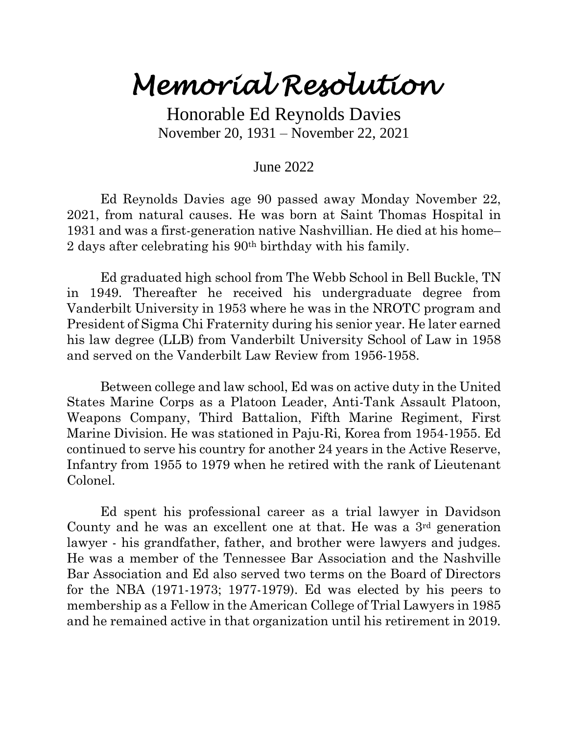## *Memorial Resolution*

Honorable Ed Reynolds Davies November 20, 1931 – November 22, 2021

## June 2022

Ed Reynolds Davies age 90 passed away Monday November 22, 2021, from natural causes. He was born at Saint Thomas Hospital in 1931 and was a first-generation native Nashvillian. He died at his home– 2 days after celebrating his 90th birthday with his family.

Ed graduated high school from The Webb School in Bell Buckle, TN in 1949. Thereafter he received his undergraduate degree from Vanderbilt University in 1953 where he was in the NROTC program and President of Sigma Chi Fraternity during his senior year. He later earned his law degree (LLB) from Vanderbilt University School of Law in 1958 and served on the Vanderbilt Law Review from 1956-1958.

Between college and law school, Ed was on active duty in the United States Marine Corps as a Platoon Leader, Anti-Tank Assault Platoon, Weapons Company, Third Battalion, Fifth Marine Regiment, First Marine Division. He was stationed in Paju-Ri, Korea from 1954-1955. Ed continued to serve his country for another 24 years in the Active Reserve, Infantry from 1955 to 1979 when he retired with the rank of Lieutenant Colonel.

Ed spent his professional career as a trial lawyer in Davidson County and he was an excellent one at that. He was a  $3<sup>rd</sup>$  generation lawyer - his grandfather, father, and brother were lawyers and judges. He was a member of the Tennessee Bar Association and the Nashville Bar Association and Ed also served two terms on the Board of Directors for the NBA (1971-1973; 1977-1979). Ed was elected by his peers to membership as a Fellow in the American College of Trial Lawyers in 1985 and he remained active in that organization until his retirement in 2019.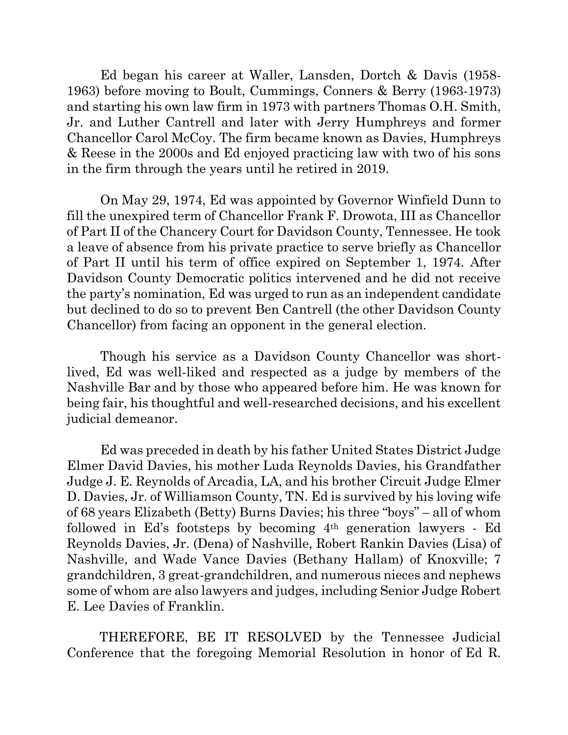Ed began his career at Waller, Lansden, Dortch & Davis (1958- 1963) before moving to Boult, Cummings, Conners & Berry (1963-1973) and starting his own law firm in 1973 with partners Thomas O.H. Smith, Jr. and Luther Cantrell and later with Jerry Humphreys and former Chancellor Carol McCoy. The firm became known as Davies, Humphreys & Reese in the 2000s and Ed enjoyed practicing law with two of his sons in the firm through the years until he retired in 2019.

On May 29, 1974, Ed was appointed by Governor Winfield Dunn to fill the unexpired term of Chancellor Frank F. Drowota, III as Chancellor of Part II of the Chancery Court for Davidson County, Tennessee. He took a leave of absence from his private practice to serve briefly as Chancellor of Part II until his term of office expired on September 1, 1974. After Davidson County Democratic politics intervened and he did not receive the party's nomination, Ed was urged to run as an independent candidate but declined to do so to prevent Ben Cantrell (the other Davidson County Chancellor) from facing an opponent in the general election.

Though his service as a Davidson County Chancellor was shortlived, Ed was well-liked and respected as a judge by members of the Nashville Bar and by those who appeared before him. He was known for being fair, his thoughtful and well-researched decisions, and his excellent judicial demeanor.

Ed was preceded in death by his father United States District Judge Elmer David Davies, his mother Luda Reynolds Davies, his Grandfather Judge J. E. Reynolds of Arcadia, LA, and his brother Circuit Judge Elmer D. Davies, Jr. of Williamson County, TN. Ed is survived by his loving wife of 68 years Elizabeth (Betty) Burns Davies; his three "boys" – all of whom followed in Ed's footsteps by becoming 4th generation lawyers - Ed Reynolds Davies, Jr. (Dena) of Nashville, Robert Rankin Davies (Lisa) of Nashville, and Wade Vance Davies (Bethany Hallam) of Knoxville; 7 grandchildren, 3 great-grandchildren, and numerous nieces and nephews some of whom are also lawyers and judges, including Senior Judge Robert E. Lee Davies of Franklin.

THEREFORE, BE IT RESOLVED by the Tennessee Judicial Conference that the foregoing Memorial Resolution in honor of Ed R.